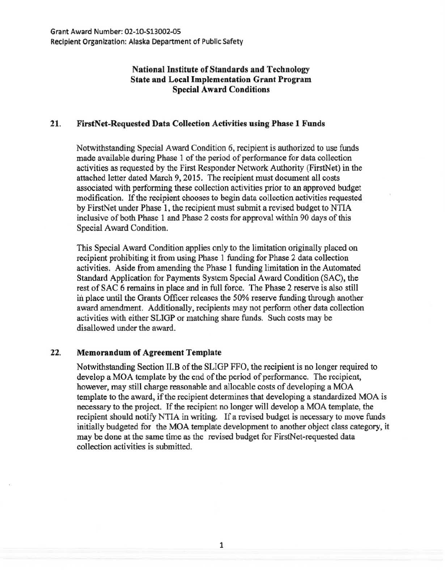## National Institute of Standards and Technology State and Local Implementation Grant Program Special Award Conditions

## 21. FirstNet-Requested Data Collection Activities using Phase 1 Funds

Notwithstanding Special Award Condition 6, recipient is authorized to use funds made available during Phase 1 of the period of performance for data collection activities as requested by the First Responder Network Authority (FirstNet) in the attached letter dated March 9, 2015. The recipient must document all costs associated with performing these collection activities prior to an approved budget modification. If the recipient chooses to begin data collection activities requested by FirstNet under Phase 1, the recipient must submit a revised budget to NTIA inclusive of both Phase 1 and Phase 2 costs for approval within 90 days of this Special Award Condition.

This Special Award Condition applies only to the limitation originally placed on recipient prohibiting it from using Phase 1 funding for Phase 2 data collection activities. Aside from amending the Phase 1 funding limitation in the Automated Standard Application for Payments System Special Award Condition (SAC), the rest of SAC 6 remains in place and in full force. The Phase 2 reserve is also still in place until the Grants Officer releases the 50% reserve funding through another award amendment. Additionally, recipients may not perform other data collection activities with either SLIGP or matching share funds. Such costs may be disallowed under the award.

## 22. Memorandum of Agreement Template

Notwithstanding Section II.B of the SLIGP FFO, the recipient is no longer required to develop a MOA template by the end of the period of performance. The recipient, however, may still charge reasonable and allocable costs of developing a MOA template to the award, if the recipient determines that developing a standardized MOA is necessary to the project. If the recipient no longer will develop a MOA template, the recipient should notify NTIA in writing. If a revised budget is necessary to move funds initially budgeted for the MOA template development to another object class category, it may be done at the same time as the revised budget for FirstNet-requested data collection activities is submitted.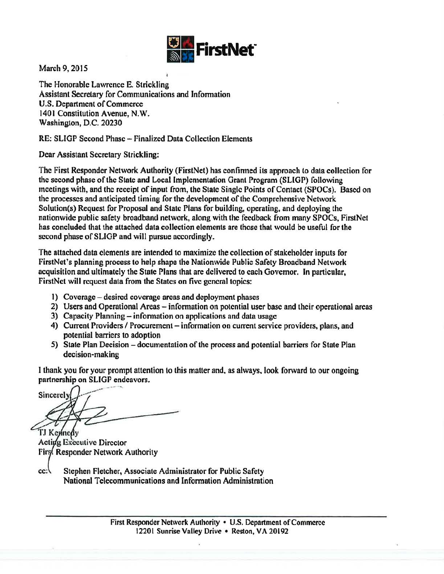

March 9, 2015

The Honorable Lawrence E. Strickling Assistant Secretary for Communications and lnfonnation U.S. Department of Commerce 1401 Constitution Avenue, N.W. Washington, D.C. 20230

RE: SLIOP Second Phase- Finalized Data Collection Elements

Dear Assistant Secretary Strickling:

The First Responder Network Authority (FirstNet) has con finned its approach to data collection for the second phase of the State and Local Implementation Grant Program (SLIGP) following meetings with, and the receipt of input from, the State Single Points of Contact (SPOCs). Based on the processes and anticipated timing for the development of the Comprehensive Network Solution(s) Request for Proposal and State Plans for building, operating, and deploying the nationwide public safety broadband network, along with the feedback from many SPOCs, FirstNet has concluded that the attached data collection elements are those that would be useful for the second phase of SLIGP and will pursue accordingly.

The attached data clements are intended to maximize the collection of stakeholder inputs for FirstNet's planning process to help shape the Nationwide Public Safety Broadband Network acquisition and ultimately the State Plans that are delivered to each Governor. In particular, FirstNct will request data from the States on five general topics:

- 1) Coverage desired coverage areas and deployment phases
- 2) Users and Operational Areas information on potential user base and their operational areas
- 3) Capacity Planning information on applications and data usage
- 4) Current Providers / Procurement information on current service providers, plans, and potential barriers to adoption
- 5) State Plan Decision documentation of the process and potential barriers for State Plan decision-making

I thank you for your prompt attention to this matter and, as always, look forward to our ongoing

partnership on SLIGP endeavors.<br>Sincerely

TJ Kennedy Acting Executive Director First Responder Network Authority

 $cc:$ Stephen Fletcher, Associate Administrator for Public Safety National Telecommunications and Information Administration